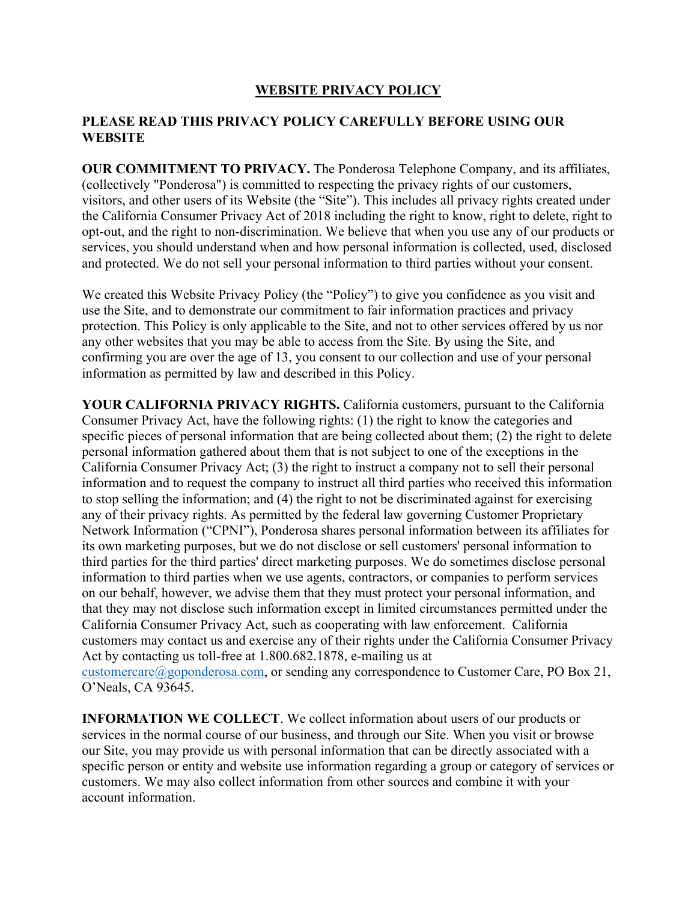## **WEBSITE PRIVACY POLICY**

## **PLEASE READ THIS PRIVACY POLICY CAREFULLY BEFORE USING OUR WEBSITE**

**OUR COMMITMENT TO PRIVACY.** The Ponderosa Telephone Company, and its affiliates, (collectively "Ponderosa") is committed to respecting the privacy rights of our customers, visitors, and other users of its Website (the "Site"). This includes all privacy rights created under the California Consumer Privacy Act of 2018 including the right to know, right to delete, right to opt-out, and the right to non-discrimination. We believe that when you use any of our products or services, you should understand when and how personal information is collected, used, disclosed and protected. We do not sell your personal information to third parties without your consent.

We created this Website Privacy Policy (the "Policy") to give you confidence as you visit and use the Site, and to demonstrate our commitment to fair information practices and privacy protection. This Policy is only applicable to the Site, and not to other services offered by us nor any other websites that you may be able to access from the Site. By using the Site, and confirming you are over the age of 13, you consent to our collection and use of your personal information as permitted by law and described in this Policy.

**YOUR CALIFORNIA PRIVACY RIGHTS.** California customers, pursuant to the California Consumer Privacy Act, have the following rights: (1) the right to know the categories and specific pieces of personal information that are being collected about them; (2) the right to delete personal information gathered about them that is not subject to one of the exceptions in the California Consumer Privacy Act; (3) the right to instruct a company not to sell their personal information and to request the company to instruct all third parties who received this information to stop selling the information; and (4) the right to not be discriminated against for exercising any of their privacy rights. As permitted by the federal law governing Customer Proprietary Network Information ("CPNI"), Ponderosa shares personal information between its affiliates for its own marketing purposes, but we do not disclose or sell customers' personal information to third parties for the third parties' direct marketing purposes. We do sometimes disclose personal information to third parties when we use agents, contractors, or companies to perform services on our behalf, however, we advise them that they must protect your personal information, and that they may not disclose such information except in limited circumstances permitted under the California Consumer Privacy Act, such as cooperating with law enforcement. California customers may contact us and exercise any of their rights under the California Consumer Privacy Act by contacting us toll-free at 1.800.682.1878, e-mailing us at customercare@goponderosa.com, or sending any correspondence to Customer Care, PO Box 21, O'Neals, CA 93645.

**INFORMATION WE COLLECT**. We collect information about users of our products or services in the normal course of our business, and through our Site. When you visit or browse our Site, you may provide us with personal information that can be directly associated with a specific person or entity and website use information regarding a group or category of services or customers. We may also collect information from other sources and combine it with your account information.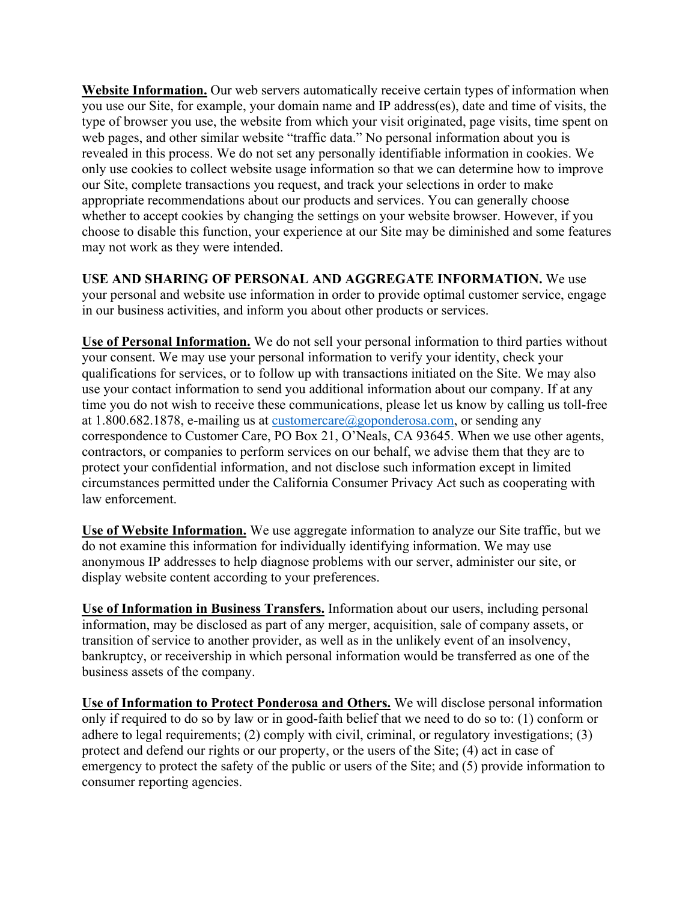**Website Information.** Our web servers automatically receive certain types of information when you use our Site, for example, your domain name and IP address(es), date and time of visits, the type of browser you use, the website from which your visit originated, page visits, time spent on web pages, and other similar website "traffic data." No personal information about you is revealed in this process. We do not set any personally identifiable information in cookies. We only use cookies to collect website usage information so that we can determine how to improve our Site, complete transactions you request, and track your selections in order to make appropriate recommendations about our products and services. You can generally choose whether to accept cookies by changing the settings on your website browser. However, if you choose to disable this function, your experience at our Site may be diminished and some features may not work as they were intended.

**USE AND SHARING OF PERSONAL AND AGGREGATE INFORMATION.** We use your personal and website use information in order to provide optimal customer service, engage in our business activities, and inform you about other products or services.

**Use of Personal Information.** We do not sell your personal information to third parties without your consent. We may use your personal information to verify your identity, check your qualifications for services, or to follow up with transactions initiated on the Site. We may also use your contact information to send you additional information about our company. If at any time you do not wish to receive these communications, please let us know by calling us toll-free at 1.800.682.1878, e-mailing us at customercare@goponderosa.com, or sending any correspondence to Customer Care, PO Box 21, O'Neals, CA 93645. When we use other agents, contractors, or companies to perform services on our behalf, we advise them that they are to protect your confidential information, and not disclose such information except in limited circumstances permitted under the California Consumer Privacy Act such as cooperating with law enforcement.

**Use of Website Information.** We use aggregate information to analyze our Site traffic, but we do not examine this information for individually identifying information. We may use anonymous IP addresses to help diagnose problems with our server, administer our site, or display website content according to your preferences.

**Use of Information in Business Transfers.** Information about our users, including personal information, may be disclosed as part of any merger, acquisition, sale of company assets, or transition of service to another provider, as well as in the unlikely event of an insolvency, bankruptcy, or receivership in which personal information would be transferred as one of the business assets of the company.

**Use of Information to Protect Ponderosa and Others.** We will disclose personal information only if required to do so by law or in good-faith belief that we need to do so to: (1) conform or adhere to legal requirements; (2) comply with civil, criminal, or regulatory investigations; (3) protect and defend our rights or our property, or the users of the Site; (4) act in case of emergency to protect the safety of the public or users of the Site; and (5) provide information to consumer reporting agencies.